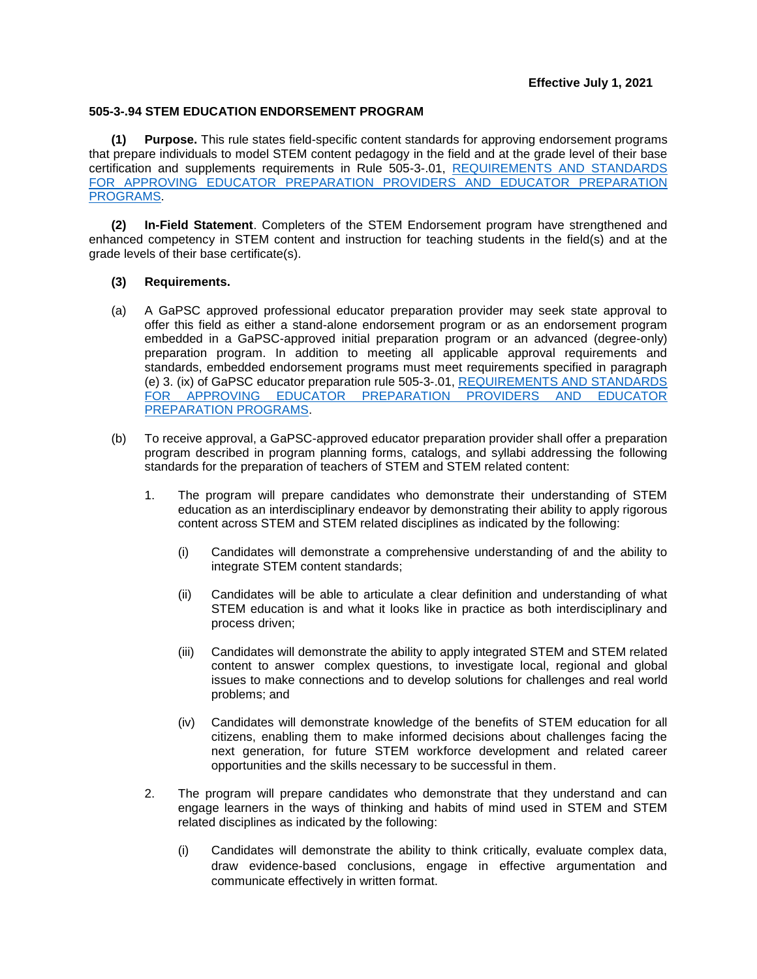## **505-3-.94 STEM EDUCATION ENDORSEMENT PROGRAM**

**(1) Purpose.** This rule states field-specific content standards for approving endorsement programs that prepare individuals to model STEM content pedagogy in the field and at the grade level of their base certification and supplements requirements in Rule 505-3-.01, [REQUIREMENTS AND STANDARDS](https://www.gapsc.com/Rules/Current/EducatorPreparation/505-3-.01.pdf?dt=%3C%25#Eval()  [FOR APPROVING EDUCATOR PREPARATION PROVIDERS AND EDUCATOR PREPARATION](https://www.gapsc.com/Rules/Current/EducatorPreparation/505-3-.01.pdf?dt=%3C%25#Eval()  [PROGRAMS.](https://www.gapsc.com/Rules/Current/EducatorPreparation/505-3-.01.pdf?dt=%3C%25#Eval()

**(2) In-Field Statement**. Completers of the STEM Endorsement program have strengthened and enhanced competency in STEM content and instruction for teaching students in the field(s) and at the grade levels of their base certificate(s).

## **(3) Requirements.**

- (a) A GaPSC approved professional educator preparation provider may seek state approval to offer this field as either a stand-alone endorsement program or as an endorsement program embedded in a GaPSC-approved initial preparation program or an advanced (degree-only) preparation program. In addition to meeting all applicable approval requirements and standards, embedded endorsement programs must meet requirements specified in paragraph (e) 3. (ix) of GaPSC educator preparation rule 505-3-.01, [REQUIREMENTS AND STANDARDS](https://www.gapsc.com/Rules/Current/EducatorPreparation/505-3-.01.pdf?dt=%3C%25#Eval()  [FOR APPROVING EDUCATOR PREPARATION PROVIDERS AND EDUCATOR](https://www.gapsc.com/Rules/Current/EducatorPreparation/505-3-.01.pdf?dt=%3C%25#Eval()  [PREPARATION PROGRAMS.](https://www.gapsc.com/Rules/Current/EducatorPreparation/505-3-.01.pdf?dt=%3C%25#Eval()
- (b) To receive approval, a GaPSC-approved educator preparation provider shall offer a preparation program described in program planning forms, catalogs, and syllabi addressing the following standards for the preparation of teachers of STEM and STEM related content:
	- 1. The program will prepare candidates who demonstrate their understanding of STEM education as an interdisciplinary endeavor by demonstrating their ability to apply rigorous content across STEM and STEM related disciplines as indicated by the following:
		- (i) Candidates will demonstrate a comprehensive understanding of and the ability to integrate STEM content standards;
		- (ii) Candidates will be able to articulate a clear definition and understanding of what STEM education is and what it looks like in practice as both interdisciplinary and process driven;
		- (iii) Candidates will demonstrate the ability to apply integrated STEM and STEM related content to answer complex questions, to investigate local, regional and global issues to make connections and to develop solutions for challenges and real world problems; and
		- (iv) Candidates will demonstrate knowledge of the benefits of STEM education for all citizens, enabling them to make informed decisions about challenges facing the next generation, for future STEM workforce development and related career opportunities and the skills necessary to be successful in them.
	- 2. The program will prepare candidates who demonstrate that they understand and can engage learners in the ways of thinking and habits of mind used in STEM and STEM related disciplines as indicated by the following:
		- (i) Candidates will demonstrate the ability to think critically, evaluate complex data, draw evidence-based conclusions, engage in effective argumentation and communicate effectively in written format.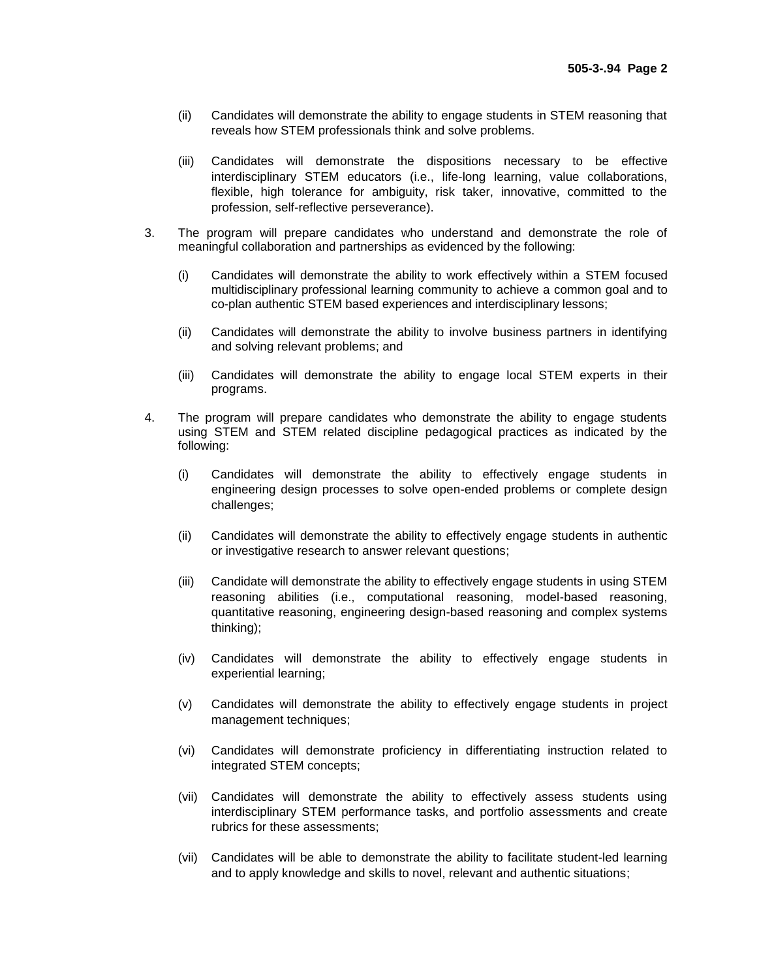- (ii) Candidates will demonstrate the ability to engage students in STEM reasoning that reveals how STEM professionals think and solve problems.
- (iii) Candidates will demonstrate the dispositions necessary to be effective interdisciplinary STEM educators (i.e., life-long learning, value collaborations, flexible, high tolerance for ambiguity, risk taker, innovative, committed to the profession, self-reflective perseverance).
- 3. The program will prepare candidates who understand and demonstrate the role of meaningful collaboration and partnerships as evidenced by the following:
	- (i) Candidates will demonstrate the ability to work effectively within a STEM focused multidisciplinary professional learning community to achieve a common goal and to co-plan authentic STEM based experiences and interdisciplinary lessons;
	- (ii) Candidates will demonstrate the ability to involve business partners in identifying and solving relevant problems; and
	- (iii) Candidates will demonstrate the ability to engage local STEM experts in their programs.
- 4. The program will prepare candidates who demonstrate the ability to engage students using STEM and STEM related discipline pedagogical practices as indicated by the following:
	- (i) Candidates will demonstrate the ability to effectively engage students in engineering design processes to solve open-ended problems or complete design challenges;
	- (ii) Candidates will demonstrate the ability to effectively engage students in authentic or investigative research to answer relevant questions;
	- (iii) Candidate will demonstrate the ability to effectively engage students in using STEM reasoning abilities (i.e., computational reasoning, model-based reasoning, quantitative reasoning, engineering design-based reasoning and complex systems thinking);
	- (iv) Candidates will demonstrate the ability to effectively engage students in experiential learning;
	- (v) Candidates will demonstrate the ability to effectively engage students in project management techniques;
	- (vi) Candidates will demonstrate proficiency in differentiating instruction related to integrated STEM concepts;
	- (vii) Candidates will demonstrate the ability to effectively assess students using interdisciplinary STEM performance tasks, and portfolio assessments and create rubrics for these assessments;
	- (vii) Candidates will be able to demonstrate the ability to facilitate student-led learning and to apply knowledge and skills to novel, relevant and authentic situations;